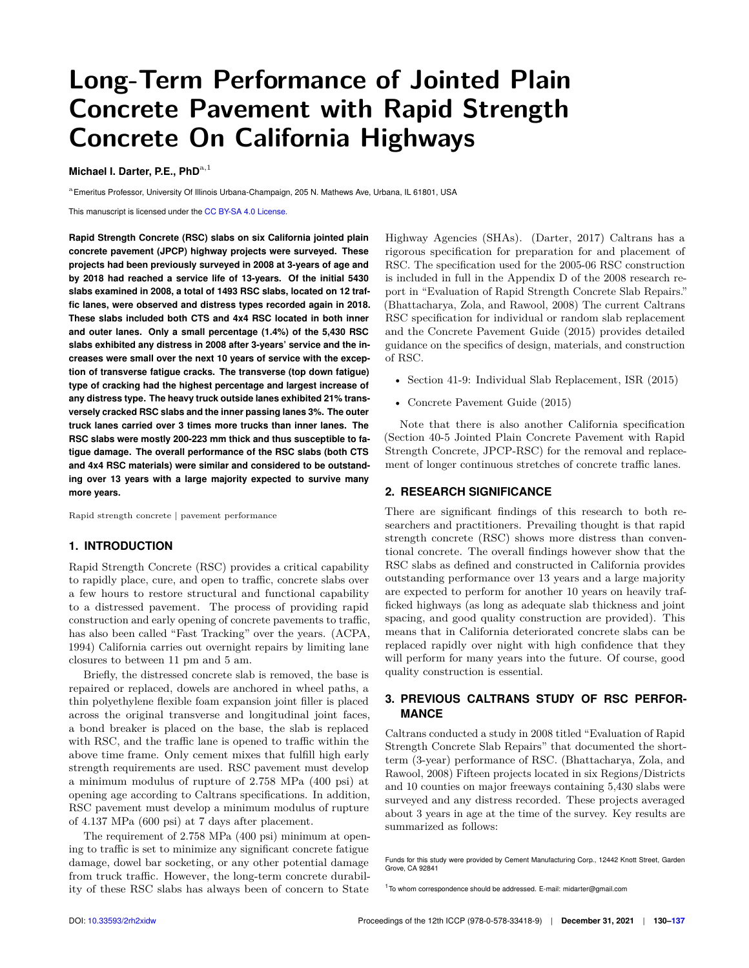# **Long-Term Performance of Jointed Plain Concrete Pavement with Rapid Strength Concrete On California Highways**

**Michael I. Darter, P.E., PhD**<sup>a,1</sup>

a Emeritus Professor, University Of Illinois Urbana-Champaign, 205 N. Mathews Ave, Urbana, IL 61801, USA

This manuscript is licensed under the [CC BY-SA 4.0 License.](https://creativecommons.org/licenses/by-sa/4.0/)

**Rapid Strength Concrete (RSC) slabs on six California jointed plain concrete pavement (JPCP) highway projects were surveyed. These projects had been previously surveyed in 2008 at 3-years of age and by 2018 had reached a service life of 13-years. Of the initial 5430 slabs examined in 2008, a total of 1493 RSC slabs, located on 12 traffic lanes, were observed and distress types recorded again in 2018. These slabs included both CTS and 4x4 RSC located in both inner and outer lanes. Only a small percentage (1.4%) of the 5,430 RSC slabs exhibited any distress in 2008 after 3-years' service and the increases were small over the next 10 years of service with the exception of transverse fatigue cracks. The transverse (top down fatigue) type of cracking had the highest percentage and largest increase of any distress type. The heavy truck outside lanes exhibited 21% transversely cracked RSC slabs and the inner passing lanes 3%. The outer truck lanes carried over 3 times more trucks than inner lanes. The RSC slabs were mostly 200-223 mm thick and thus susceptible to fatigue damage. The overall performance of the RSC slabs (both CTS and 4x4 RSC materials) were similar and considered to be outstanding over 13 years with a large majority expected to survive many more years.**

Rapid strength concrete | pavement performance

## **1. INTRODUCTION**

Rapid Strength Concrete (RSC) provides a critical capability to rapidly place, cure, and open to traffic, concrete slabs over a few hours to restore structural and functional capability to a distressed pavement. The process of providing rapid construction and early opening of concrete pavements to traffic, has also been called "Fast Tracking" over the years. (ACPA, 1994) California carries out overnight repairs by limiting lane closures to between 11 pm and 5 am.

Briefly, the distressed concrete slab is removed, the base is repaired or replaced, dowels are anchored in wheel paths, a thin polyethylene flexible foam expansion joint filler is placed across the original transverse and longitudinal joint faces, a bond breaker is placed on the base, the slab is replaced with RSC, and the traffic lane is opened to traffic within the above time frame. Only cement mixes that fulfill high early strength requirements are used. RSC pavement must develop a minimum modulus of rupture of 2.758 MPa (400 psi) at opening age according to Caltrans specifications. In addition, RSC pavement must develop a minimum modulus of rupture of 4.137 MPa (600 psi) at 7 days after placement.

The requirement of 2.758 MPa (400 psi) minimum at opening to traffic is set to minimize any significant concrete fatigue damage, dowel bar socketing, or any other potential damage from truck traffic. However, the long-term concrete durability of these RSC slabs has always been of concern to State Highway Agencies (SHAs). (Darter, 2017) Caltrans has a rigorous specification for preparation for and placement of RSC. The specification used for the 2005-06 RSC construction is included in full in the Appendix D of the 2008 research report in "Evaluation of Rapid Strength Concrete Slab Repairs." (Bhattacharya, Zola, and Rawool, 2008) The current Caltrans RSC specification for individual or random slab replacement and the Concrete Pavement Guide (2015) provides detailed guidance on the specifics of design, materials, and construction of RSC.

- Section 41-9: Individual Slab Replacement, ISR (2015)
- Concrete Pavement Guide (2015)

Note that there is also another California specification (Section 40-5 Jointed Plain Concrete Pavement with Rapid Strength Concrete, JPCP-RSC) for the removal and replacement of longer continuous stretches of concrete traffic lanes.

## **2. RESEARCH SIGNIFICANCE**

There are significant findings of this research to both researchers and practitioners. Prevailing thought is that rapid strength concrete (RSC) shows more distress than conventional concrete. The overall findings however show that the RSC slabs as defined and constructed in California provides outstanding performance over 13 years and a large majority are expected to perform for another 10 years on heavily trafficked highways (as long as adequate slab thickness and joint spacing, and good quality construction are provided). This means that in California deteriorated concrete slabs can be replaced rapidly over night with high confidence that they will perform for many years into the future. Of course, good quality construction is essential.

# **3. PREVIOUS CALTRANS STUDY OF RSC PERFOR-MANCE**

Caltrans conducted a study in 2008 titled "Evaluation of Rapid Strength Concrete Slab Repairs" that documented the shortterm (3-year) performance of RSC. (Bhattacharya, Zola, and Rawool, 2008) Fifteen projects located in six Regions/Districts and 10 counties on major freeways containing 5,430 slabs were surveyed and any distress recorded. These projects averaged about 3 years in age at the time of the survey. Key results are summarized as follows:

Funds for this study were provided by Cement Manufacturing Corp., 12442 Knott Street, Garden Grove, CA 92841

<sup>1</sup>To whom correspondence should be addressed. E-mail: midarter@gmail.com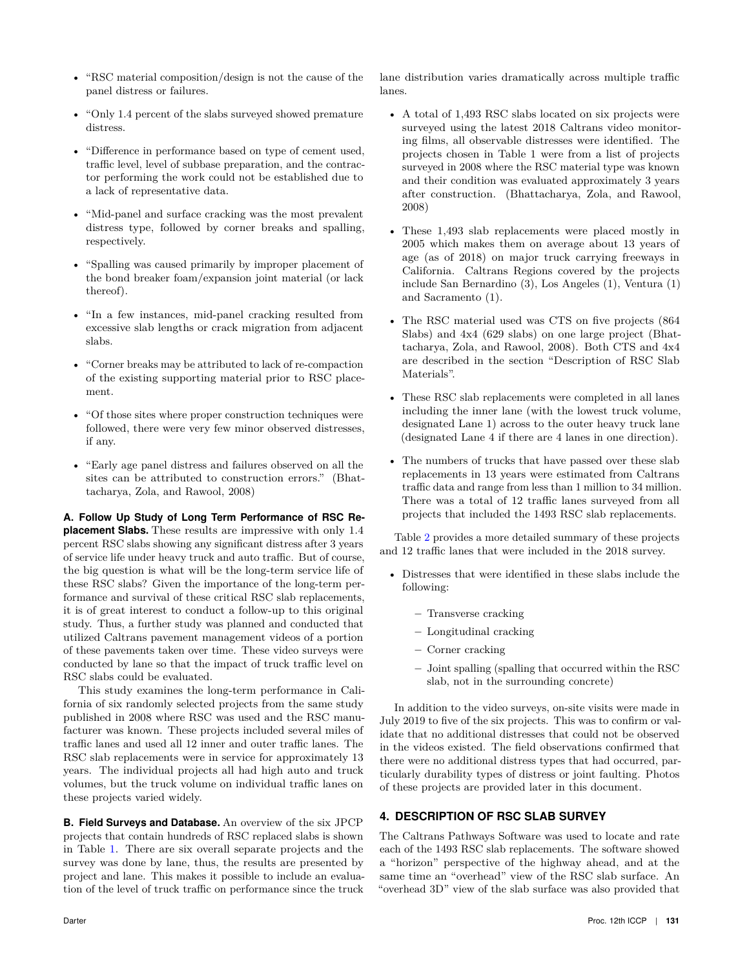- "Only 1.4 percent of the slabs surveyed showed premature distress.
- "Difference in performance based on type of cement used, traffic level, level of subbase preparation, and the contractor performing the work could not be established due to a lack of representative data.
- "Mid-panel and surface cracking was the most prevalent distress type, followed by corner breaks and spalling, respectively.
- "Spalling was caused primarily by improper placement of the bond breaker foam/expansion joint material (or lack thereof).
- "In a few instances, mid-panel cracking resulted from excessive slab lengths or crack migration from adjacent slabs.
- "Corner breaks may be attributed to lack of re-compaction of the existing supporting material prior to RSC placement.
- $\bullet~~$  "Of those sites where proper construction techniques were followed, there were very few minor observed distresses, if any.
- "Early age panel distress and failures observed on all the sites can be attributed to construction errors." (Bhattacharya, Zola, and Rawool, 2008)

**A. Follow Up Study of Long Term Performance of RSC Replacement Slabs.** These results are impressive with only 1.4 percent RSC slabs showing any significant distress after 3 years of service life under heavy truck and auto traffic. But of course, the big question is what will be the long-term service life of these RSC slabs? Given the importance of the long-term performance and survival of these critical RSC slab replacements, it is of great interest to conduct a follow-up to this original study. Thus, a further study was planned and conducted that utilized Caltrans pavement management videos of a portion of these pavements taken over time. These video surveys were conducted by lane so that the impact of truck traffic level on RSC slabs could be evaluated.

This study examines the long-term performance in California of six randomly selected projects from the same study published in 2008 where RSC was used and the RSC manufacturer was known. These projects included several miles of traffic lanes and used all 12 inner and outer traffic lanes. The RSC slab replacements were in service for approximately 13 years. The individual projects all had high auto and truck volumes, but the truck volume on individual traffic lanes on these projects varied widely.

**B. Field Surveys and Database.** An overview of the six JPCP projects that contain hundreds of RSC replaced slabs is shown in Table [1.](#page-2-0) There are six overall separate projects and the survey was done by lane, thus, the results are presented by project and lane. This makes it possible to include an evaluation of the level of truck traffic on performance since the truck lane distribution varies dramatically across multiple traffic lanes.

- A total of 1,493 RSC slabs located on six projects were surveyed using the latest 2018 Caltrans video monitoring films, all observable distresses were identified. The projects chosen in Table 1 were from a list of projects surveyed in 2008 where the RSC material type was known and their condition was evaluated approximately 3 years after construction. (Bhattacharya, Zola, and Rawool, 2008)
- These 1,493 slab replacements were placed mostly in 2005 which makes them on average about 13 years of age (as of 2018) on major truck carrying freeways in California. Caltrans Regions covered by the projects include San Bernardino (3), Los Angeles (1), Ventura (1) and Sacramento (1).
- The RSC material used was CTS on five projects (864) Slabs) and 4x4 (629 slabs) on one large project (Bhattacharya, Zola, and Rawool, 2008). Both CTS and 4x4 are described in the section "Description of RSC Slab Materials".
- These RSC slab replacements were completed in all lanes including the inner lane (with the lowest truck volume, designated Lane 1) across to the outer heavy truck lane (designated Lane 4 if there are 4 lanes in one direction).
- The numbers of trucks that have passed over these slab replacements in 13 years were estimated from Caltrans traffic data and range from less than 1 million to 34 million. There was a total of 12 traffic lanes surveyed from all projects that included the 1493 RSC slab replacements.

Table [2](#page-2-1) provides a more detailed summary of these projects and 12 traffic lanes that were included in the 2018 survey.

- Distresses that were identified in these slabs include the following:
	- **–** Transverse cracking
	- **–** Longitudinal cracking
	- **–** Corner cracking
	- **–** Joint spalling (spalling that occurred within the RSC slab, not in the surrounding concrete)

In addition to the video surveys, on-site visits were made in July 2019 to five of the six projects. This was to confirm or validate that no additional distresses that could not be observed in the videos existed. The field observations confirmed that there were no additional distress types that had occurred, particularly durability types of distress or joint faulting. Photos of these projects are provided later in this document.

# **4. DESCRIPTION OF RSC SLAB SURVEY**

The Caltrans Pathways Software was used to locate and rate each of the 1493 RSC slab replacements. The software showed a "horizon" perspective of the highway ahead, and at the same time an "overhead" view of the RSC slab surface. An "overhead 3D" view of the slab surface was also provided that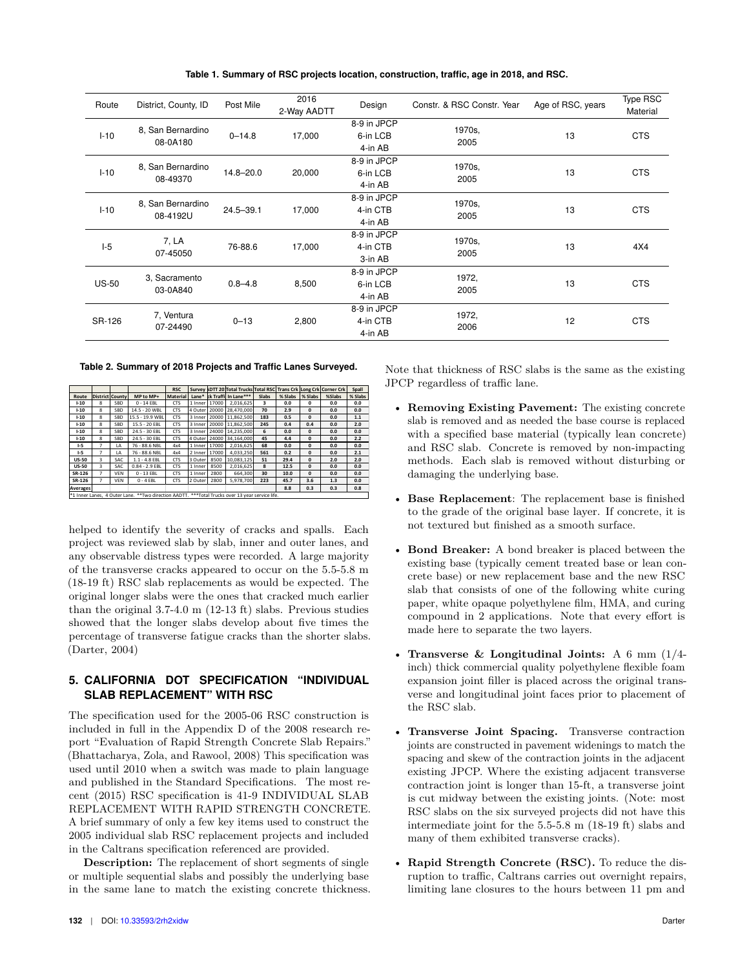<span id="page-2-0"></span>

| Route        | District, County, ID          | Post Mile     | 2016<br>2-Way AADTT | Design                             | Constr. & RSC Constr. Year | Age of RSC, years | Type RSC<br>Material |
|--------------|-------------------------------|---------------|---------------------|------------------------------------|----------------------------|-------------------|----------------------|
| $I-10$       | 8, San Bernardino<br>08-0A180 | $0 - 14.8$    | 17,000              | 8-9 in JPCP<br>6-in LCB<br>4-in AB | 1970s.<br>2005             | 13                | <b>CTS</b>           |
| $I-10$       | 8, San Bernardino<br>08-49370 | $14.8 - 20.0$ | 20,000              | 8-9 in JPCP<br>6-in LCB<br>4-in AB | 1970s.<br>2005             | 13                | <b>CTS</b>           |
| $I-10$       | 8, San Bernardino<br>08-4192U | $24.5 - 39.1$ | 17,000              | 8-9 in JPCP<br>4-in CTB<br>4-in AB | 1970s.<br>2005             | 13                | <b>CTS</b>           |
| $1-5$        | 7, LA<br>07-45050             | 76-88.6       | 17,000              | 8-9 in JPCP<br>4-in CTB<br>3-in AB | 1970s.<br>2005             | 13                | 4X4                  |
| <b>US-50</b> | 3. Sacramento<br>03-0A840     | $0.8 - 4.8$   | 8,500               | 8-9 in JPCP<br>6-in LCB<br>4-in AB | 1972,<br>2005              | 13                | <b>CTS</b>           |
| SR-126       | 7, Ventura<br>07-24490        | $0 - 13$      | 2,800               | 8-9 in JPCP<br>4-in CTB<br>4-in AB | 1972,<br>2006              | 12                | <b>CTS</b>           |

**Table 1. Summary of RSC projects location, construction, traffic, age in 2018, and RSC.**

<span id="page-2-1"></span>**Table 2. Summary of 2018 Projects and Traffic Lanes Surveyed.**

|                                                                                                 |                        |            |                  | <b>RSC</b>      |               |       | Survey ADTT 20 Total Trucks Total RSC Trans Crk Long Crk Corner Crk |       |         |              |        | Spall   |
|-------------------------------------------------------------------------------------------------|------------------------|------------|------------------|-----------------|---------------|-------|---------------------------------------------------------------------|-------|---------|--------------|--------|---------|
| Route                                                                                           | <b>District County</b> |            | MP to MP+        | <b>Material</b> |               |       | Lane* ck Traffil In Lane***                                         | Slabs | % Slabs | % Slabs      | %Slabs | % Slabs |
| $1 - 10$                                                                                        | 8                      | SBD        | $0 - 14$ EBL     | <b>CTS</b>      | 1 Inner       | 17000 | 2.016.625                                                           | 3     | 0.0     | $\Omega$     | 0.0    | 0.0     |
| $1 - 10$                                                                                        | 8                      | SBD        | 14.5 - 20 WBL    | <b>CTS</b>      | 4 Outer       | 20000 | 28.470.000                                                          | 70    | 2.9     | $\Omega$     | 0.0    | 0.0     |
| $1 - 10$                                                                                        | s.                     | SBD        | 15.5 - 19.9 WBL  | <b>CTS</b>      | 3 Inner       | 20000 | 11.862.500                                                          | 183   | 0.5     | $\Omega$     | 0.0    | 1.1     |
| $1 - 10$                                                                                        | s.                     | SBD        | 15.5 - 20 EBL    | <b>CTS</b>      | 3 Inner       | 20000 | 11.862.500                                                          | 245   | 0.4     | 0.4          | 0.0    | 2.0     |
| $1 - 10$                                                                                        | 8                      | SBD        | 24.5 - 30 EBL    | <b>CTS</b>      | 3 Inner       | 24000 | 14.235.000                                                          | 6     | 0.0     | $\mathbf{0}$ | 0.0    | 0.0     |
| $1 - 10$                                                                                        | s.                     | SBD        | 24.5 - 30 EBL    | <b>CTS</b>      | 4 Outer 24000 |       | 34.164.000                                                          | 45    | 4.4     | $\Omega$     | 0.0    | 2.2     |
| $1-5$                                                                                           | $\overline{ }$         | 1A         | 76 - 88.6 NBL    | 4x4             | 1 Inner       | 17000 | 2.016.625                                                           | 68    | 0.0     | $\Omega$     | 0.0    | 0.0     |
| $1-5$                                                                                           | 7                      | LA         | 76 - 88.6 NBL    | 4x4             | 2 Inner       | 17000 | 4.033.250                                                           | 561   | 0.2     | $\Omega$     | 0.0    | 2.1     |
| <b>US-50</b>                                                                                    | 3                      | SAC        | $1.1 - 4.8$ EBL  | <b>CTS</b>      | 3 Outer       | 8500  | 10.083.125                                                          | 51    | 29.4    | $\mathbf{0}$ | 2.0    | 2.0     |
| <b>US-50</b>                                                                                    | 3                      | SAC        | $0.84 - 2.9$ EBL | <b>CTS</b>      | 1 Inner       | 8500  | 2.016.625                                                           | 8     | 12.5    | $\Omega$     | 0.0    | 0.0     |
| SR-126                                                                                          | $\overline{ }$         | <b>VFN</b> | $0 - 13$ EBL     | <b>CTS</b>      | 1 Inner       | 2800  | 664,300                                                             | 30    | 10.0    | $\Omega$     | 0.0    | 0.0     |
| SR-126                                                                                          | 7                      | VEN        | $0 - 4$ EBL      | <b>CTS</b>      | 2 Outer       | 2800  | 5.978.700                                                           | 223   | 45.7    | 3.6          | 1.3    | 0.0     |
| <b>Averages</b>                                                                                 |                        |            |                  |                 |               |       |                                                                     |       | 8.8     | 0.3          | 0.3    | 0.8     |
| *1 Inner Lanes, 4 Outer Lane. **Two direction AADTT. ***Total Trucks over 13 year service life. |                        |            |                  |                 |               |       |                                                                     |       |         |              |        |         |

helped to identify the severity of cracks and spalls. Each project was reviewed slab by slab, inner and outer lanes, and any observable distress types were recorded. A large majority of the transverse cracks appeared to occur on the 5.5-5.8 m (18-19 ft) RSC slab replacements as would be expected. The original longer slabs were the ones that cracked much earlier than the original 3.7-4.0 m (12-13 ft) slabs. Previous studies showed that the longer slabs develop about five times the percentage of transverse fatigue cracks than the shorter slabs. (Darter, 2004)

# **5. CALIFORNIA DOT SPECIFICATION "INDIVIDUAL SLAB REPLACEMENT" WITH RSC**

The specification used for the 2005-06 RSC construction is included in full in the Appendix D of the 2008 research report "Evaluation of Rapid Strength Concrete Slab Repairs." (Bhattacharya, Zola, and Rawool, 2008) This specification was used until 2010 when a switch was made to plain language and published in the Standard Specifications. The most recent (2015) RSC specification is 41-9 INDIVIDUAL SLAB REPLACEMENT WITH RAPID STRENGTH CONCRETE. A brief summary of only a few key items used to construct the 2005 individual slab RSC replacement projects and included in the Caltrans specification referenced are provided.

**Description:** The replacement of short segments of single or multiple sequential slabs and possibly the underlying base in the same lane to match the existing concrete thickness. Note that thickness of RSC slabs is the same as the existing JPCP regardless of traffic lane.

- **Removing Existing Pavement:** The existing concrete slab is removed and as needed the base course is replaced with a specified base material (typically lean concrete) and RSC slab. Concrete is removed by non-impacting methods. Each slab is removed without disturbing or damaging the underlying base.
- **Base Replacement**: The replacement base is finished to the grade of the original base layer. If concrete, it is not textured but finished as a smooth surface.
- **Bond Breaker:** A bond breaker is placed between the existing base (typically cement treated base or lean concrete base) or new replacement base and the new RSC slab that consists of one of the following white curing paper, white opaque polyethylene film, HMA, and curing compound in 2 applications. Note that every effort is made here to separate the two layers.
- **Transverse & Longitudinal Joints:** A 6 mm (1/4 inch) thick commercial quality polyethylene flexible foam expansion joint filler is placed across the original transverse and longitudinal joint faces prior to placement of the RSC slab.
- **Transverse Joint Spacing.** Transverse contraction joints are constructed in pavement widenings to match the spacing and skew of the contraction joints in the adjacent existing JPCP. Where the existing adjacent transverse contraction joint is longer than 15-ft, a transverse joint is cut midway between the existing joints. (Note: most RSC slabs on the six surveyed projects did not have this intermediate joint for the 5.5-5.8 m (18-19 ft) slabs and many of them exhibited transverse cracks).
- **Rapid Strength Concrete (RSC).** To reduce the disruption to traffic, Caltrans carries out overnight repairs, limiting lane closures to the hours between 11 pm and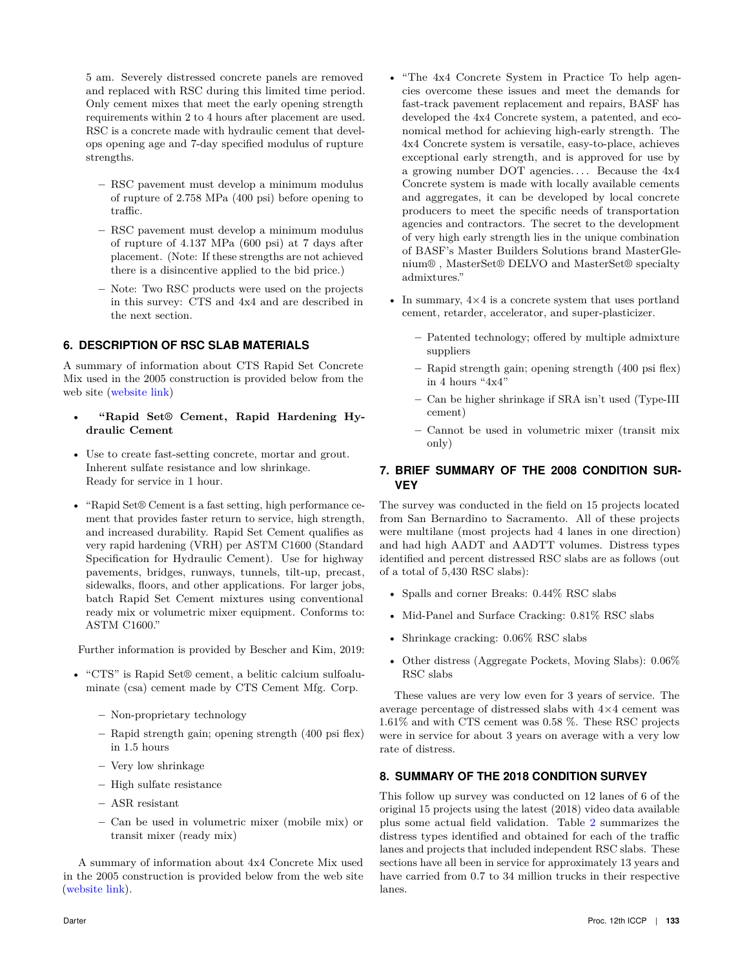5 am. Severely distressed concrete panels are removed and replaced with RSC during this limited time period. Only cement mixes that meet the early opening strength requirements within 2 to 4 hours after placement are used. RSC is a concrete made with hydraulic cement that develops opening age and 7-day specified modulus of rupture strengths.

- **–** RSC pavement must develop a minimum modulus of rupture of 2.758 MPa (400 psi) before opening to traffic.
- **–** RSC pavement must develop a minimum modulus of rupture of 4.137 MPa (600 psi) at 7 days after placement. (Note: If these strengths are not achieved there is a disincentive applied to the bid price.)
- **–** Note: Two RSC products were used on the projects in this survey: CTS and 4x4 and are described in the next section.

## **6. DESCRIPTION OF RSC SLAB MATERIALS**

A summary of information about CTS Rapid Set Concrete Mix used in the 2005 construction is provided below from the web site [\(website link\)](https://www.ctscement.com/product/rapid-set-cement?c=PAVEMENT%20&%20OVERLAYS&t=Professionals)

- **"Rapid Set® Cement, Rapid Hardening Hydraulic Cement**
- Use to create fast-setting concrete, mortar and grout. Inherent sulfate resistance and low shrinkage. Ready for service in 1 hour.
- "Rapid Set® Cement is a fast setting, high performance cement that provides faster return to service, high strength, and increased durability. Rapid Set Cement qualifies as very rapid hardening (VRH) per ASTM C1600 (Standard Specification for Hydraulic Cement). Use for highway pavements, bridges, runways, tunnels, tilt-up, precast, sidewalks, floors, and other applications. For larger jobs, batch Rapid Set Cement mixtures using conventional ready mix or volumetric mixer equipment. Conforms to: ASTM C1600."

Further information is provided by Bescher and Kim, 2019:

- "CTS" is Rapid Set® cement, a belitic calcium sulfoaluminate (csa) cement made by CTS Cement Mfg. Corp.
	- **–** Non-proprietary technology
	- **–** Rapid strength gain; opening strength (400 psi flex) in 1.5 hours
	- **–** Very low shrinkage
	- **–** High sulfate resistance
	- **–** ASR resistant
	- **–** Can be used in volumetric mixer (mobile mix) or transit mixer (ready mix)

A summary of information about 4x4 Concrete Mix used in the 2005 construction is provided below from the web site [\(website link\)](https://assets.master-builders-solutions.basf.com/en-us/4x4-concrete-comparison_ctif.pdf).

- "The 4x4 Concrete System in Practice To help agencies overcome these issues and meet the demands for fast-track pavement replacement and repairs, BASF has developed the 4x4 Concrete system, a patented, and economical method for achieving high-early strength. The 4x4 Concrete system is versatile, easy-to-place, achieves exceptional early strength, and is approved for use by a growing number DOT agencies.... Because the  $4x4$ Concrete system is made with locally available cements and aggregates, it can be developed by local concrete producers to meet the specific needs of transportation agencies and contractors. The secret to the development of very high early strength lies in the unique combination of BASF's Master Builders Solutions brand MasterGlenium® , MasterSet® DELVO and MasterSet® specialty admixtures."
- In summary,  $4 \times 4$  is a concrete system that uses portland cement, retarder, accelerator, and super-plasticizer.
	- **–** Patented technology; offered by multiple admixture suppliers
	- **–** Rapid strength gain; opening strength (400 psi flex) in 4 hours "4x4"
	- **–** Can be higher shrinkage if SRA isn't used (Type-III cement)
	- **–** Cannot be used in volumetric mixer (transit mix only)

# **7. BRIEF SUMMARY OF THE 2008 CONDITION SUR-VEY**

The survey was conducted in the field on 15 projects located from San Bernardino to Sacramento. All of these projects were multilane (most projects had 4 lanes in one direction) and had high AADT and AADTT volumes. Distress types identified and percent distressed RSC slabs are as follows (out of a total of 5,430 RSC slabs):

- Spalls and corner Breaks: 0.44% RSC slabs
- Mid-Panel and Surface Cracking: 0.81% RSC slabs
- Shrinkage cracking: 0.06% RSC slabs
- Other distress (Aggregate Pockets, Moving Slabs):  $0.06\%$ RSC slabs

These values are very low even for 3 years of service. The average percentage of distressed slabs with 4×4 cement was 1.61% and with CTS cement was 0.58 %. These RSC projects were in service for about 3 years on average with a very low rate of distress.

# **8. SUMMARY OF THE 2018 CONDITION SURVEY**

This follow up survey was conducted on 12 lanes of 6 of the original 15 projects using the latest (2018) video data available plus some actual field validation. Table [2](#page-2-1) summarizes the distress types identified and obtained for each of the traffic lanes and projects that included independent RSC slabs. These sections have all been in service for approximately 13 years and have carried from 0.7 to 34 million trucks in their respective lanes.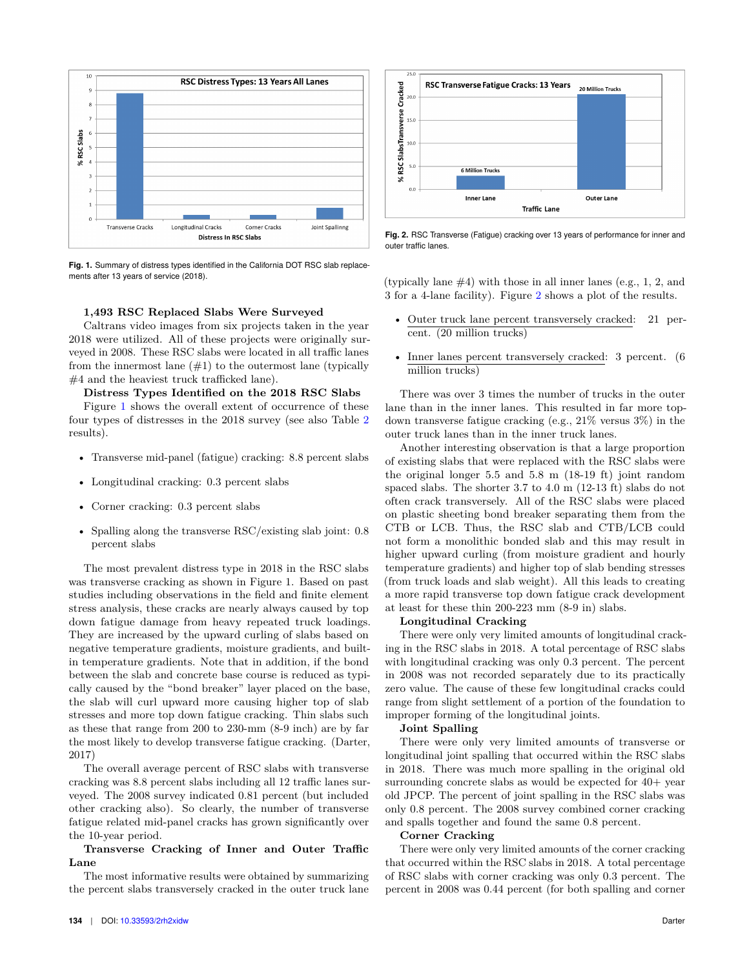<span id="page-4-0"></span>

**Fig. 1.** Summary of distress types identified in the California DOT RSC slab replacements after 13 years of service (2018).

### **1,493 RSC Replaced Slabs Were Surveyed**

Caltrans video images from six projects taken in the year 2018 were utilized. All of these projects were originally surveyed in 2008. These RSC slabs were located in all traffic lanes from the innermost lane  $(\#1)$  to the outermost lane (typically #4 and the heaviest truck trafficked lane).

#### **Distress Types Identified on the 2018 RSC Slabs**

Figure [1](#page-4-0) shows the overall extent of occurrence of these four types of distresses in the 2018 survey (see also Table [2](#page-2-1) results).

- Transverse mid-panel (fatigue) cracking: 8.8 percent slabs
- Longitudinal cracking: 0.3 percent slabs
- Corner cracking: 0.3 percent slabs
- Spalling along the transverse RSC/existing slab joint: 0.8 percent slabs

The most prevalent distress type in 2018 in the RSC slabs was transverse cracking as shown in Figure 1. Based on past studies including observations in the field and finite element stress analysis, these cracks are nearly always caused by top down fatigue damage from heavy repeated truck loadings. They are increased by the upward curling of slabs based on negative temperature gradients, moisture gradients, and builtin temperature gradients. Note that in addition, if the bond between the slab and concrete base course is reduced as typically caused by the "bond breaker" layer placed on the base, the slab will curl upward more causing higher top of slab stresses and more top down fatigue cracking. Thin slabs such as these that range from 200 to 230-mm (8-9 inch) are by far the most likely to develop transverse fatigue cracking. (Darter, 2017)

The overall average percent of RSC slabs with transverse cracking was 8.8 percent slabs including all 12 traffic lanes surveyed. The 2008 survey indicated 0.81 percent (but included other cracking also). So clearly, the number of transverse fatigue related mid-panel cracks has grown significantly over the 10-year period.

## **Transverse Cracking of Inner and Outer Traffic Lane**

The most informative results were obtained by summarizing the percent slabs transversely cracked in the outer truck lane

<span id="page-4-1"></span>

**Fig. 2.** RSC Transverse (Fatigue) cracking over 13 years of performance for inner and outer traffic lanes.

(typically lane #4) with those in all inner lanes (e.g., 1, 2, and 3 for a 4-lane facility). Figure [2](#page-4-1) shows a plot of the results.

- Outer truck lane percent transversely cracked: 21 percent. (20 million trucks)
- Inner lanes percent transversely cracked: 3 percent. (6 million trucks)

There was over 3 times the number of trucks in the outer lane than in the inner lanes. This resulted in far more topdown transverse fatigue cracking (e.g., 21% versus 3%) in the outer truck lanes than in the inner truck lanes.

Another interesting observation is that a large proportion of existing slabs that were replaced with the RSC slabs were the original longer 5.5 and 5.8 m (18-19 ft) joint random spaced slabs. The shorter 3.7 to 4.0 m (12-13 ft) slabs do not often crack transversely. All of the RSC slabs were placed on plastic sheeting bond breaker separating them from the CTB or LCB. Thus, the RSC slab and CTB/LCB could not form a monolithic bonded slab and this may result in higher upward curling (from moisture gradient and hourly temperature gradients) and higher top of slab bending stresses (from truck loads and slab weight). All this leads to creating a more rapid transverse top down fatigue crack development at least for these thin 200-223 mm (8-9 in) slabs.

#### **Longitudinal Cracking**

There were only very limited amounts of longitudinal cracking in the RSC slabs in 2018. A total percentage of RSC slabs with longitudinal cracking was only 0.3 percent. The percent in 2008 was not recorded separately due to its practically zero value. The cause of these few longitudinal cracks could range from slight settlement of a portion of the foundation to improper forming of the longitudinal joints.

### **Joint Spalling**

There were only very limited amounts of transverse or longitudinal joint spalling that occurred within the RSC slabs in 2018. There was much more spalling in the original old surrounding concrete slabs as would be expected for 40+ year old JPCP. The percent of joint spalling in the RSC slabs was only 0.8 percent. The 2008 survey combined corner cracking and spalls together and found the same 0.8 percent.

#### **Corner Cracking**

There were only very limited amounts of the corner cracking that occurred within the RSC slabs in 2018. A total percentage of RSC slabs with corner cracking was only 0.3 percent. The percent in 2008 was 0.44 percent (for both spalling and corner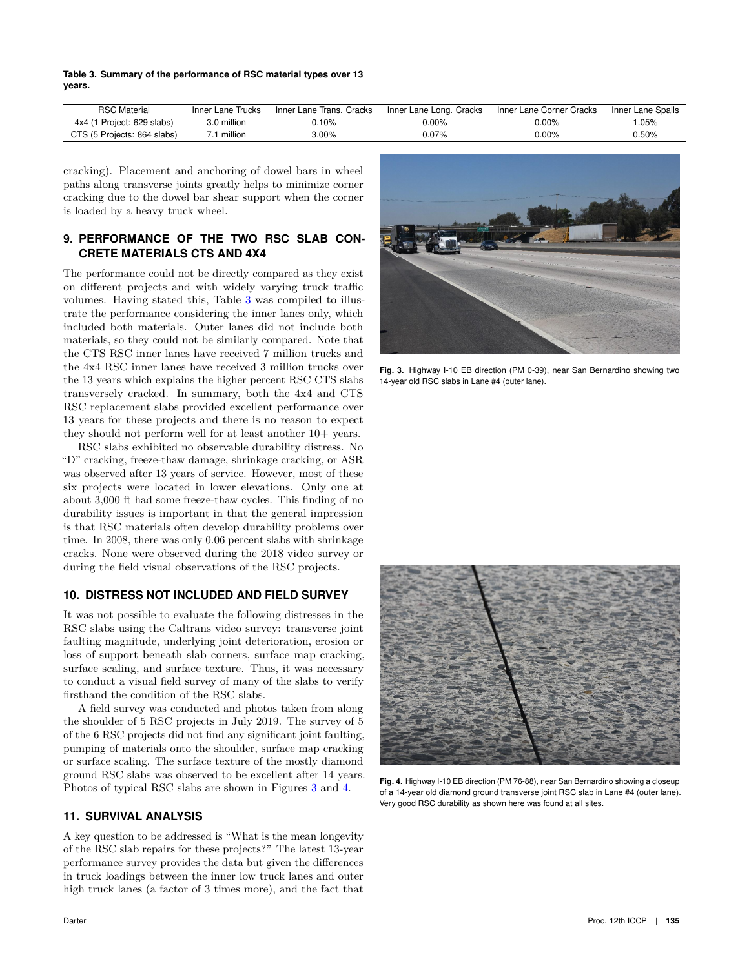<span id="page-5-0"></span>**Table 3. Summary of the performance of RSC material types over 13 years.**

| <b>RSC Material</b>         | Inner Lane Trucks | Inner Lane Trans. Cracks | Inner Lane Long. Cracks | Inner Lane Corner Cracks | Inner Lane Spalls |
|-----------------------------|-------------------|--------------------------|-------------------------|--------------------------|-------------------|
| 4x4 (1 Project: 629 slabs)  | 3.0 million       | $0.10\%$                 | $0.00\%$                | $0.00\%$                 | .05%              |
| CTS (5 Projects: 864 slabs) | .1 million        | $3.00\%$                 | $0.07\%$                | $0.00\%$                 | 0.50%             |

cracking). Placement and anchoring of dowel bars in wheel paths along transverse joints greatly helps to minimize corner cracking due to the dowel bar shear support when the corner is loaded by a heavy truck wheel.

## **9. PERFORMANCE OF THE TWO RSC SLAB CON-CRETE MATERIALS CTS AND 4X4**

The performance could not be directly compared as they exist on different projects and with widely varying truck traffic volumes. Having stated this, Table [3](#page-5-0) was compiled to illustrate the performance considering the inner lanes only, which included both materials. Outer lanes did not include both materials, so they could not be similarly compared. Note that the CTS RSC inner lanes have received 7 million trucks and the 4x4 RSC inner lanes have received 3 million trucks over the 13 years which explains the higher percent RSC CTS slabs transversely cracked. In summary, both the 4x4 and CTS RSC replacement slabs provided excellent performance over 13 years for these projects and there is no reason to expect they should not perform well for at least another  $10+$  years.

RSC slabs exhibited no observable durability distress. No "D" cracking, freeze-thaw damage, shrinkage cracking, or ASR was observed after 13 years of service. However, most of these six projects were located in lower elevations. Only one at about 3,000 ft had some freeze-thaw cycles. This finding of no durability issues is important in that the general impression is that RSC materials often develop durability problems over time. In 2008, there was only 0.06 percent slabs with shrinkage cracks. None were observed during the 2018 video survey or during the field visual observations of the RSC projects.

## **10. DISTRESS NOT INCLUDED AND FIELD SURVEY**

It was not possible to evaluate the following distresses in the RSC slabs using the Caltrans video survey: transverse joint faulting magnitude, underlying joint deterioration, erosion or loss of support beneath slab corners, surface map cracking, surface scaling, and surface texture. Thus, it was necessary to conduct a visual field survey of many of the slabs to verify firsthand the condition of the RSC slabs.

A field survey was conducted and photos taken from along the shoulder of 5 RSC projects in July 2019. The survey of 5 of the 6 RSC projects did not find any significant joint faulting, pumping of materials onto the shoulder, surface map cracking or surface scaling. The surface texture of the mostly diamond ground RSC slabs was observed to be excellent after 14 years. Photos of typical RSC slabs are shown in Figures [3](#page-5-1) and [4.](#page-5-2)

## **11. SURVIVAL ANALYSIS**

A key question to be addressed is "What is the mean longevity of the RSC slab repairs for these projects?" The latest 13-year performance survey provides the data but given the differences in truck loadings between the inner low truck lanes and outer high truck lanes (a factor of 3 times more), and the fact that

<span id="page-5-1"></span>

**Fig. 3.** Highway I-10 EB direction (PM 0-39), near San Bernardino showing two 14-year old RSC slabs in Lane #4 (outer lane).

<span id="page-5-2"></span>

**Fig. 4.** Highway I-10 EB direction (PM 76-88), near San Bernardino showing a closeup of a 14-year old diamond ground transverse joint RSC slab in Lane #4 (outer lane). Very good RSC durability as shown here was found at all sites.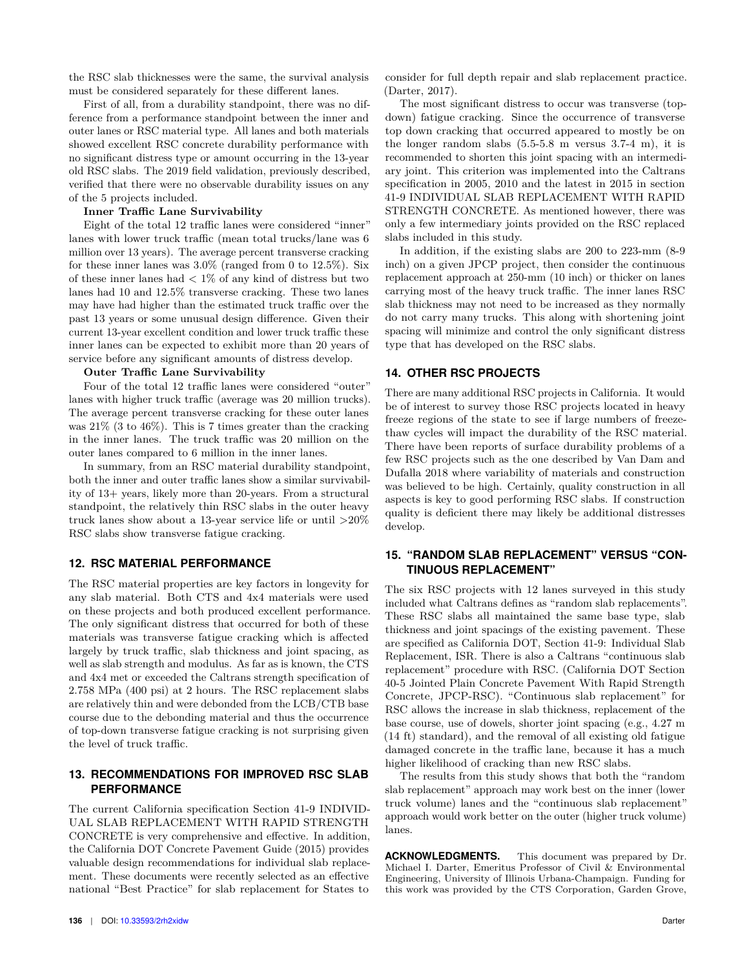the RSC slab thicknesses were the same, the survival analysis must be considered separately for these different lanes.

First of all, from a durability standpoint, there was no difference from a performance standpoint between the inner and outer lanes or RSC material type. All lanes and both materials showed excellent RSC concrete durability performance with no significant distress type or amount occurring in the 13-year old RSC slabs. The 2019 field validation, previously described, verified that there were no observable durability issues on any of the 5 projects included.

#### **Inner Traffic Lane Survivability**

Eight of the total 12 traffic lanes were considered "inner" lanes with lower truck traffic (mean total trucks/lane was 6 million over 13 years). The average percent transverse cracking for these inner lanes was  $3.0\%$  (ranged from 0 to  $12.5\%$ ). Six of these inner lanes had  $\langle 1\%$  of any kind of distress but two lanes had 10 and 12.5% transverse cracking. These two lanes may have had higher than the estimated truck traffic over the past 13 years or some unusual design difference. Given their current 13-year excellent condition and lower truck traffic these inner lanes can be expected to exhibit more than 20 years of service before any significant amounts of distress develop.

#### **Outer Traffic Lane Survivability**

Four of the total 12 traffic lanes were considered "outer" lanes with higher truck traffic (average was 20 million trucks). The average percent transverse cracking for these outer lanes was  $21\%$  (3 to  $46\%$ ). This is 7 times greater than the cracking in the inner lanes. The truck traffic was 20 million on the outer lanes compared to 6 million in the inner lanes.

In summary, from an RSC material durability standpoint, both the inner and outer traffic lanes show a similar survivability of 13+ years, likely more than 20-years. From a structural standpoint, the relatively thin RSC slabs in the outer heavy truck lanes show about a 13-year service life or until >20% RSC slabs show transverse fatigue cracking.

## **12. RSC MATERIAL PERFORMANCE**

The RSC material properties are key factors in longevity for any slab material. Both CTS and 4x4 materials were used on these projects and both produced excellent performance. The only significant distress that occurred for both of these materials was transverse fatigue cracking which is affected largely by truck traffic, slab thickness and joint spacing, as well as slab strength and modulus. As far as is known, the CTS and 4x4 met or exceeded the Caltrans strength specification of 2.758 MPa (400 psi) at 2 hours. The RSC replacement slabs are relatively thin and were debonded from the LCB/CTB base course due to the debonding material and thus the occurrence of top-down transverse fatigue cracking is not surprising given the level of truck traffic.

## **13. RECOMMENDATIONS FOR IMPROVED RSC SLAB PERFORMANCE**

The current California specification Section 41-9 INDIVID-UAL SLAB REPLACEMENT WITH RAPID STRENGTH CONCRETE is very comprehensive and effective. In addition, the California DOT Concrete Pavement Guide (2015) provides valuable design recommendations for individual slab replacement. These documents were recently selected as an effective national "Best Practice" for slab replacement for States to

The most significant distress to occur was transverse (topdown) fatigue cracking. Since the occurrence of transverse top down cracking that occurred appeared to mostly be on the longer random slabs (5.5-5.8 m versus 3.7-4 m), it is recommended to shorten this joint spacing with an intermediary joint. This criterion was implemented into the Caltrans specification in 2005, 2010 and the latest in 2015 in section 41-9 INDIVIDUAL SLAB REPLACEMENT WITH RAPID STRENGTH CONCRETE. As mentioned however, there was only a few intermediary joints provided on the RSC replaced slabs included in this study.

In addition, if the existing slabs are 200 to 223-mm (8-9 inch) on a given JPCP project, then consider the continuous replacement approach at 250-mm (10 inch) or thicker on lanes carrying most of the heavy truck traffic. The inner lanes RSC slab thickness may not need to be increased as they normally do not carry many trucks. This along with shortening joint spacing will minimize and control the only significant distress type that has developed on the RSC slabs.

## **14. OTHER RSC PROJECTS**

There are many additional RSC projects in California. It would be of interest to survey those RSC projects located in heavy freeze regions of the state to see if large numbers of freezethaw cycles will impact the durability of the RSC material. There have been reports of surface durability problems of a few RSC projects such as the one described by Van Dam and Dufalla 2018 where variability of materials and construction was believed to be high. Certainly, quality construction in all aspects is key to good performing RSC slabs. If construction quality is deficient there may likely be additional distresses develop.

## **15. "RANDOM SLAB REPLACEMENT" VERSUS "CON-TINUOUS REPLACEMENT"**

The six RSC projects with 12 lanes surveyed in this study included what Caltrans defines as "random slab replacements". These RSC slabs all maintained the same base type, slab thickness and joint spacings of the existing pavement. These are specified as California DOT, Section 41-9: Individual Slab Replacement, ISR. There is also a Caltrans "continuous slab replacement" procedure with RSC. (California DOT Section 40-5 Jointed Plain Concrete Pavement With Rapid Strength Concrete, JPCP-RSC). "Continuous slab replacement" for RSC allows the increase in slab thickness, replacement of the base course, use of dowels, shorter joint spacing (e.g., 4.27 m (14 ft) standard), and the removal of all existing old fatigue damaged concrete in the traffic lane, because it has a much higher likelihood of cracking than new RSC slabs.

The results from this study shows that both the "random slab replacement" approach may work best on the inner (lower truck volume) lanes and the "continuous slab replacement" approach would work better on the outer (higher truck volume) lanes.

**ACKNOWLEDGMENTS.** This document was prepared by Dr. Michael I. Darter, Emeritus Professor of Civil & Environmental Engineering, University of Illinois Urbana-Champaign. Funding for this work was provided by the CTS Corporation, Garden Grove,